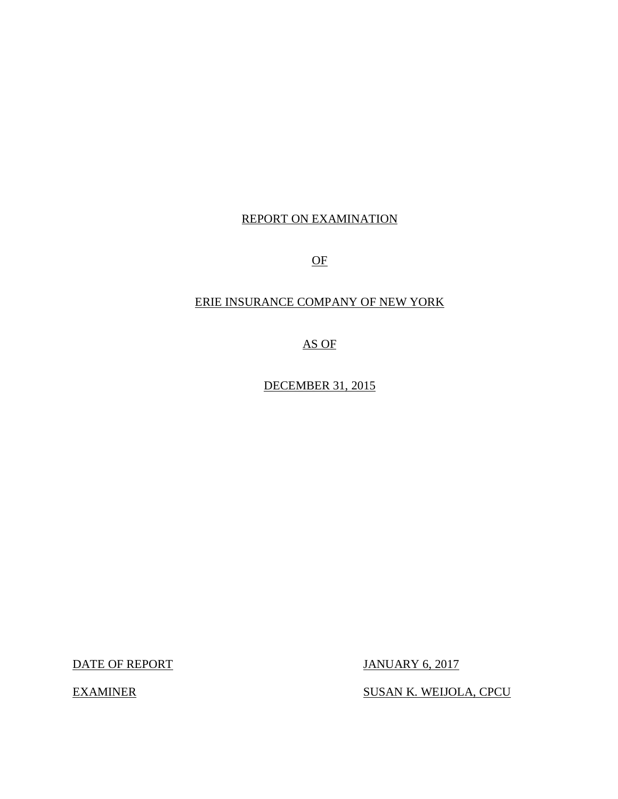# REPORT ON EXAMINATION

OF

# ERIE INSURANCE COMPANY OF NEW YORK

AS OF

DECEMBER 31, 2015

DATE OF REPORT JANUARY 6, 2017

EXAMINER SUSAN K. WEIJOLA, CPCU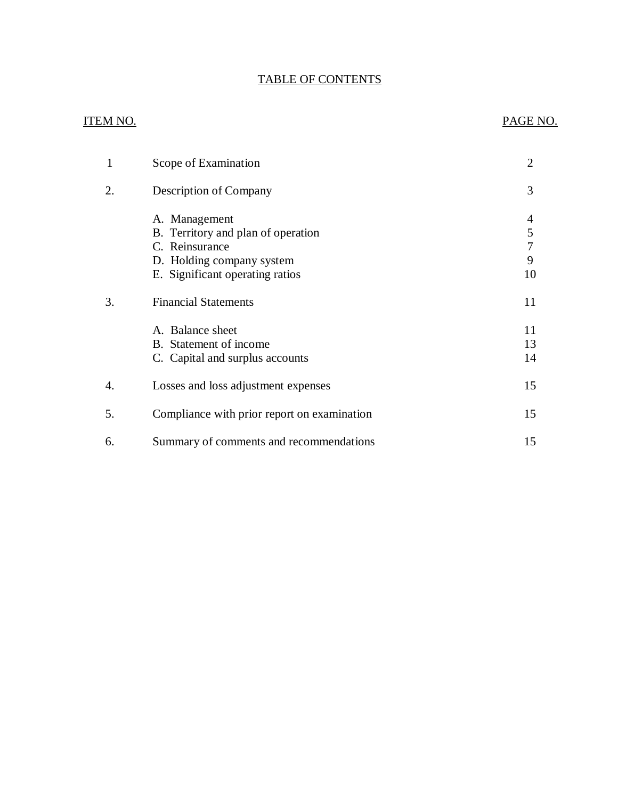# TABLE OF CONTENTS

# ITEM NO. PAGE NO.

| 1  | Scope of Examination                                                                                                                  | $\overline{2}$    |
|----|---------------------------------------------------------------------------------------------------------------------------------------|-------------------|
| 2. | Description of Company                                                                                                                | 3                 |
|    | A. Management<br>B. Territory and plan of operation<br>C. Reinsurance<br>D. Holding company system<br>E. Significant operating ratios | 4<br>5<br>9<br>10 |
| 3. | <b>Financial Statements</b>                                                                                                           | 11                |
|    | A. Balance sheet<br>B. Statement of income<br>C. Capital and surplus accounts                                                         | 11<br>13<br>14    |
| 4. | Losses and loss adjustment expenses                                                                                                   | 15                |
| 5. | Compliance with prior report on examination                                                                                           | 15                |
| 6. | Summary of comments and recommendations                                                                                               | 15                |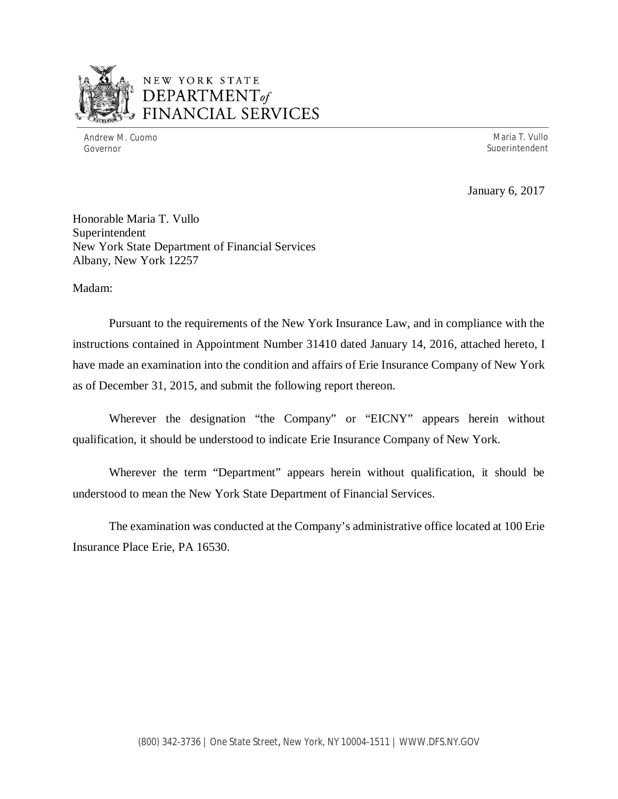

# NEW YORK STATE *DEPARTMENTof*  FINANCIAL SERVICES

Andrew M. Cuomo **Maria T. Vullo** Maria T. Vullo Maria T. Vullo Maria T. Vullo Maria T. Vullo Governor Superintendent (Superintendent Superintendent Superintendent Superintendent Superintendent Superintendent (Superintendent Superintendent Superintendent Superintendent Superintendent Superintendent Superintendent S

January 6, 2017

Honorable Maria T. Vullo Superintendent New York State Department of Financial Services Albany, New York 12257

Madam:

Pursuant to the requirements of the New York Insurance Law, and in compliance with the instructions contained in Appointment Number 31410 dated January 14, 2016, attached hereto, I have made an examination into the condition and affairs of Erie Insurance Company of New York as of December 31, 2015, and submit the following report thereon.

Wherever the designation "the Company" or "EICNY" appears herein without qualification, it should be understood to indicate Erie Insurance Company of New York.

Wherever the term "Department" appears herein without qualification, it should be understood to mean the New York State Department of Financial Services.

The examination was conducted at the Company's administrative office located at 100 Erie Insurance Place Erie, PA 16530.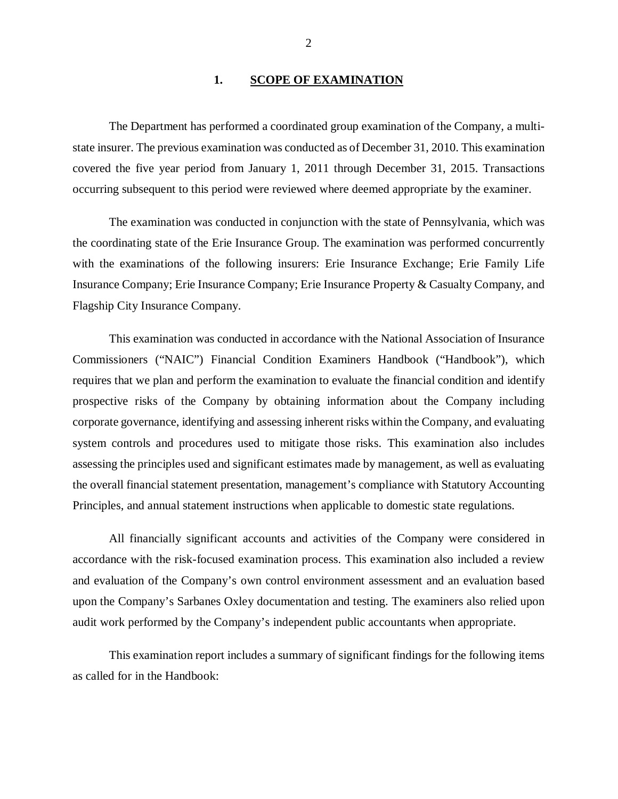### 1. SCOPE OF EXAMINATION

<span id="page-3-0"></span>The Department has performed a coordinated group examination of the Company*,* a multistate insurer. The previous examination was conducted as of December 31, 2010. This examination covered the five year period from January 1, 2011 through December 31, 2015. Transactions occurring subsequent to this period were reviewed where deemed appropriate by the examiner.

The examination was conducted in conjunction with the state of Pennsylvania, which was the coordinating state of the Erie Insurance Group. The examination was performed concurrently with the examinations of the following insurers: Erie Insurance Exchange; Erie Family Life Insurance Company; Erie Insurance Company; Erie Insurance Property & Casualty Company, and Flagship City Insurance Company.

This examination was conducted in accordance with the National Association of Insurance Commissioners ("NAIC") Financial Condition Examiners Handbook ("Handbook"), which requires that we plan and perform the examination to evaluate the financial condition and identify prospective risks of the Company by obtaining information about the Company including corporate governance, identifying and assessing inherent risks within the Company, and evaluating system controls and procedures used to mitigate those risks. This examination also includes assessing the principles used and significant estimates made by management, as well as evaluating the overall financial statement presentation, management's compliance with Statutory Accounting Principles, and annual statement instructions when applicable to domestic state regulations.

All financially significant accounts and activities of the Company were considered in accordance with the risk-focused examination process. This examination also included a review and evaluation of the Company's own control environment assessment and an evaluation based upon the Company's Sarbanes Oxley documentation and testing. The examiners also relied upon audit work performed by the Company's independent public accountants when appropriate.

This examination report includes a summary of significant findings for the following items as called for in the Handbook: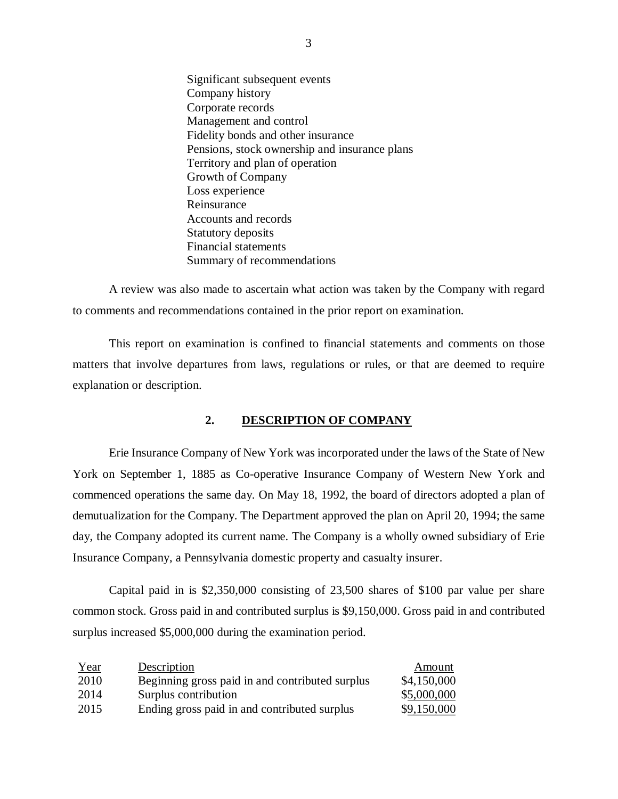Significant subsequent events Company history Corporate records Management and control Fidelity bonds and other insurance Pensions, stock ownership and insurance plans Territory and plan of operation Growth of Company Loss experience Reinsurance Accounts and records Statutory deposits Financial statements Summary of recommendations

A review was also made to ascertain what action was taken by the Company with regard to comments and recommendations contained in the prior report on examination.

This report on examination is confined to financial statements and comments on those matters that involve departures from laws, regulations or rules, or that are deemed to require explanation or description.

## **2. DESCRIPTION OF COMPANY**

Erie Insurance Company of New York was incorporated under the laws of the State of New York on September 1, 1885 as Co-operative Insurance Company of Western New York and commenced operations the same day. On May 18, 1992, the board of directors adopted a plan of demutualization for the Company. The Department approved the plan on April 20, 1994; the same day, the Company adopted its current name. The Company is a wholly owned subsidiary of Erie Insurance Company, a Pennsylvania domestic property and casualty insurer.

Capital paid in is \$2,350,000 consisting of 23,500 shares of \$100 par value per share common stock. Gross paid in and contributed surplus is \$9,150,000. Gross paid in and contributed surplus increased \$5,000,000 during the examination period.

| Year | Description                                     | Amount      |
|------|-------------------------------------------------|-------------|
| 2010 | Beginning gross paid in and contributed surplus | \$4,150,000 |
| 2014 | Surplus contribution                            | \$5,000,000 |
| 2015 | Ending gross paid in and contributed surplus    | \$9,150,000 |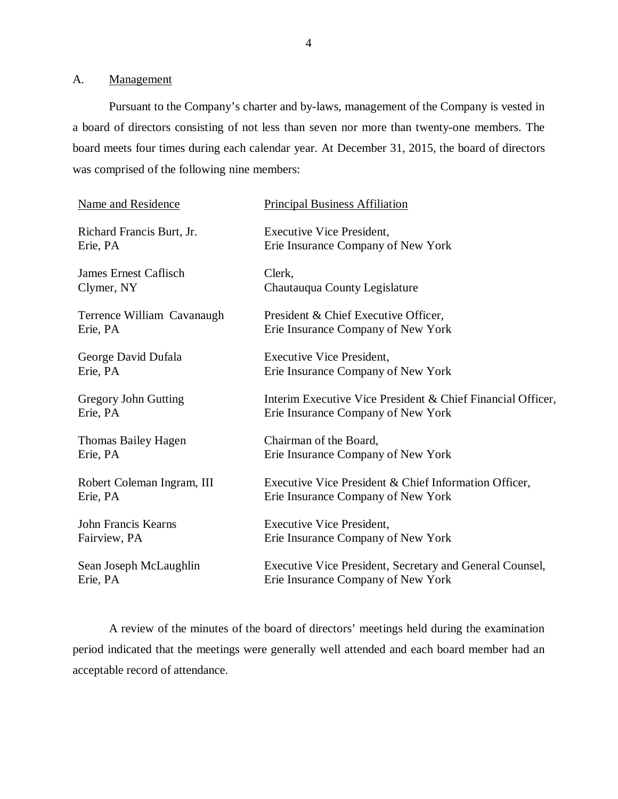<span id="page-5-0"></span>A. Management

Pursuant to the Company's charter and by-laws, management of the Company is vested in a board of directors consisting of not less than seven nor more than twenty-one members. The board meets four times during each calendar year. At December 31, 2015, the board of directors was comprised of the following nine members:

| <b>Name and Residence</b>    | <b>Principal Business Affiliation</b>                       |
|------------------------------|-------------------------------------------------------------|
| Richard Francis Burt, Jr.    | Executive Vice President,                                   |
| Erie, PA                     | Erie Insurance Company of New York                          |
| <b>James Ernest Caflisch</b> | Clerk,                                                      |
| Clymer, NY                   | Chautauqua County Legislature                               |
| Terrence William Cavanaugh   | President & Chief Executive Officer,                        |
| Erie, PA                     | Erie Insurance Company of New York                          |
| George David Dufala          | <b>Executive Vice President,</b>                            |
| Erie, PA                     | Erie Insurance Company of New York                          |
| <b>Gregory John Gutting</b>  | Interim Executive Vice President & Chief Financial Officer, |
| Erie, PA                     | Erie Insurance Company of New York                          |
| Thomas Bailey Hagen          | Chairman of the Board,                                      |
| Erie, PA                     | Erie Insurance Company of New York                          |
| Robert Coleman Ingram, III   | Executive Vice President & Chief Information Officer,       |
| Erie, PA                     | Erie Insurance Company of New York                          |
| <b>John Francis Kearns</b>   | <b>Executive Vice President,</b>                            |
| Fairview, PA                 | Erie Insurance Company of New York                          |
| Sean Joseph McLaughlin       | Executive Vice President, Secretary and General Counsel,    |
| Erie, PA                     | Erie Insurance Company of New York                          |

A review of the minutes of the board of directors' meetings held during the examination period indicated that the meetings were generally well attended and each board member had an acceptable record of attendance.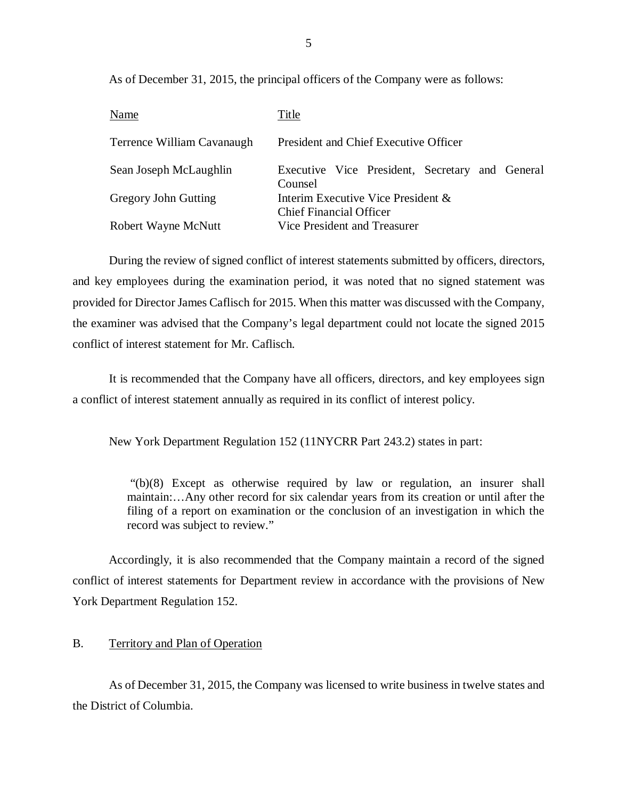As of December 31, 2015, the principal officers of the Company were as follows:

| Name                       | Title                                                                |
|----------------------------|----------------------------------------------------------------------|
| Terrence William Cavanaugh | President and Chief Executive Officer                                |
| Sean Joseph McLaughlin     | Executive Vice President, Secretary and General<br>Counsel           |
| Gregory John Gutting       | Interim Executive Vice President &<br><b>Chief Financial Officer</b> |
| Robert Wayne McNutt        | Vice President and Treasurer                                         |

During the review of signed conflict of interest statements submitted by officers, directors, and key employees during the examination period, it was noted that no signed statement was provided for Director James Caflisch for 2015. When this matter was discussed with the Company, the examiner was advised that the Company's legal department could not locate the signed 2015 conflict of interest statement for Mr. Caflisch.

It is recommended that the Company have all officers, directors, and key employees sign a conflict of interest statement annually as required in its conflict of interest policy.

New York Department Regulation 152 (11NYCRR Part 243.2) states in part:

"(b)(8) Except as otherwise required by law or regulation, an insurer shall maintain:…Any other record for six calendar years from its creation or until after the filing of a report on examination or the conclusion of an investigation in which the record was subject to review."

Accordingly, it is also recommended that the Company maintain a record of the signed conflict of interest statements for Department review in accordance with the provisions of New York Department Regulation 152.

## B. Territory and Plan of Operation

As of December 31, 2015, the Company was licensed to write business in twelve states and the District of Columbia.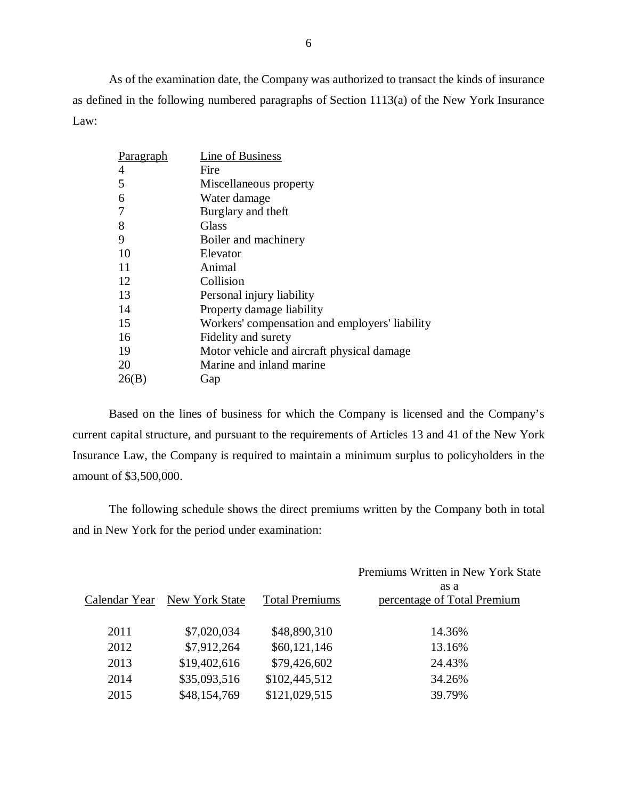As of the examination date, the Company was authorized to transact the kinds of insurance as defined in the following numbered paragraphs of Section 1113(a) of the New York Insurance Law:

| Paragraph | Line of Business                               |
|-----------|------------------------------------------------|
| 4         | Fire                                           |
| 5         | Miscellaneous property                         |
| 6         | Water damage                                   |
|           | Burglary and theft                             |
| 8         | Glass                                          |
| 9         | Boiler and machinery                           |
| 10        | Elevator                                       |
| 11        | Animal                                         |
| 12        | Collision                                      |
| 13        | Personal injury liability                      |
| 14        | Property damage liability                      |
| 15        | Workers' compensation and employers' liability |
| 16        | Fidelity and surety                            |
| 19        | Motor vehicle and aircraft physical damage     |
| 20        | Marine and inland marine                       |
| 26(B)     | Gap                                            |

Based on the lines of business for which the Company is licensed and the Company's current capital structure, and pursuant to the requirements of Articles 13 and 41 of the New York Insurance Law, the Company is required to maintain a minimum surplus to policyholders in the amount of \$3,500,000.

The following schedule shows the direct premiums written by the Company both in total and in New York for the period under examination:

|               |                |                       | Premiums Written in New York State  |
|---------------|----------------|-----------------------|-------------------------------------|
| Calendar Year | New York State | <b>Total Premiums</b> | as a<br>percentage of Total Premium |
| 2011          | \$7,020,034    | \$48,890,310          | 14.36%                              |
| 2012          | \$7,912,264    | \$60,121,146          | 13.16%                              |
| 2013          | \$19,402,616   | \$79,426,602          | 24.43%                              |
| 2014          | \$35,093,516   | \$102,445,512         | 34.26%                              |
| 2015          | \$48,154,769   | \$121,029,515         | 39.79%                              |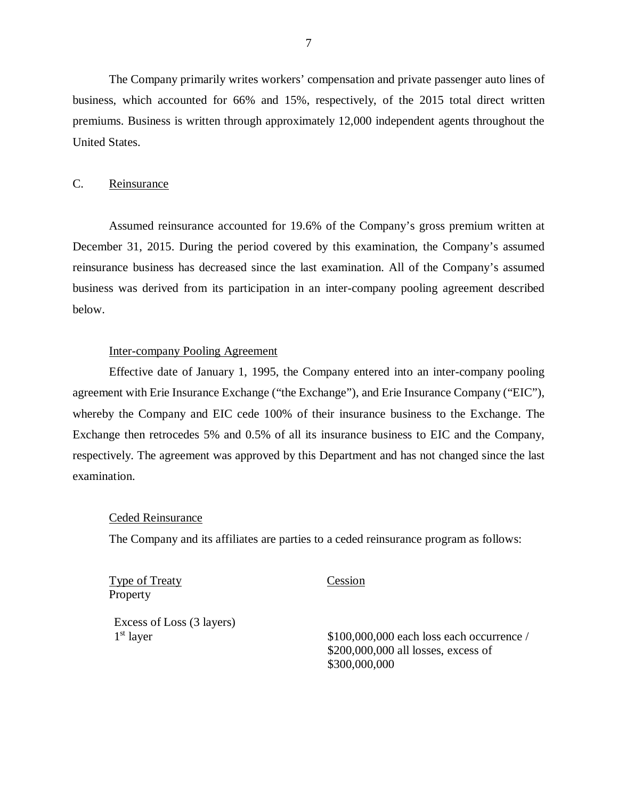<span id="page-8-0"></span>The Company primarily writes workers' compensation and private passenger auto lines of business, which accounted for 66% and 15%, respectively, of the 2015 total direct written premiums. Business is written through approximately 12,000 independent agents throughout the United States.

## C. Reinsurance

Assumed reinsurance accounted for 19.6% of the Company's gross premium written at December 31, 2015. During the period covered by this examination, the Company's assumed reinsurance business has decreased since the last examination. All of the Company's assumed business was derived from its participation in an inter-company pooling agreement described below.

## Inter-company Pooling Agreement

Effective date of January 1, 1995, the Company entered into an inter-company pooling agreement with Erie Insurance Exchange ("the Exchange"), and Erie Insurance Company ("EIC"), whereby the Company and EIC cede 100% of their insurance business to the Exchange. The Exchange then retrocedes 5% and 0.5% of all its insurance business to EIC and the Company, respectively. The agreement was approved by this Department and has not changed since the last examination.

## Ceded Reinsurance

The Company and its affiliates are parties to a ceded reinsurance program as follows:

Type of Treaty Cession Property

Excess of Loss (3 layers)

1st layer \$100,000,000 each loss each occurrence / \$200,000,000 all losses, excess of \$300,000,000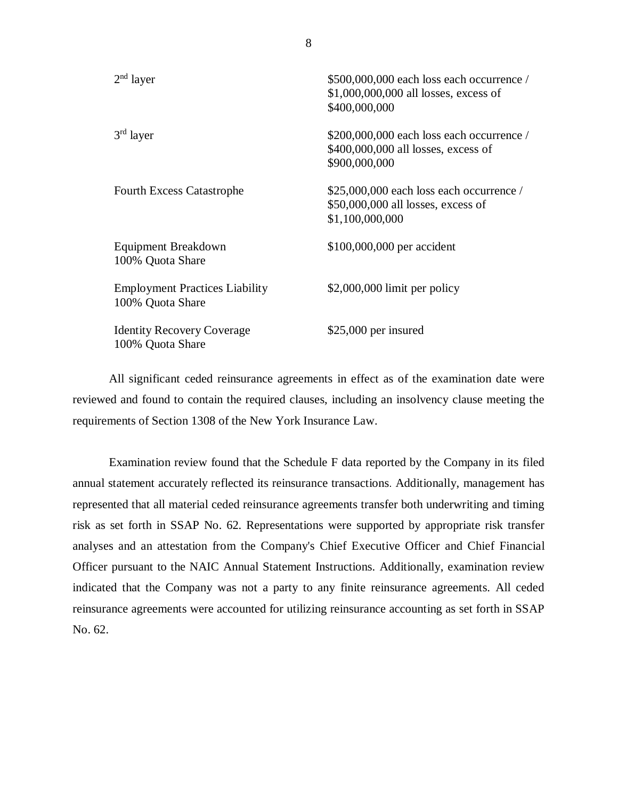| $2nd$ layer                                               | \$500,000,000 each loss each occurrence /<br>\$1,000,000,000 all losses, excess of<br>\$400,000,000 |
|-----------------------------------------------------------|-----------------------------------------------------------------------------------------------------|
| $3rd$ layer                                               | $$200,000,000$ each loss each occurrence /<br>\$400,000,000 all losses, excess of<br>\$900,000,000  |
| <b>Fourth Excess Catastrophe</b>                          | $$25,000,000$ each loss each occurrence /<br>\$50,000,000 all losses, excess of<br>\$1,100,000,000  |
| Equipment Breakdown<br>100% Quota Share                   | \$100,000,000 per accident                                                                          |
| <b>Employment Practices Liability</b><br>100% Quota Share | $$2,000,000$ limit per policy                                                                       |
| <b>Identity Recovery Coverage</b><br>100% Quota Share     | \$25,000 per insured                                                                                |

All significant ceded reinsurance agreements in effect as of the examination date were reviewed and found to contain the required clauses, including an insolvency clause meeting the requirements of Section 1308 of the New York Insurance Law.

Examination review found that the Schedule F data reported by the Company in its filed annual statement accurately reflected its reinsurance transactions. Additionally, management has represented that all material ceded reinsurance agreements transfer both underwriting and timing risk as set forth in SSAP No. 62. Representations were supported by appropriate risk transfer analyses and an attestation from the Company's Chief Executive Officer and Chief Financial Officer pursuant to the NAIC Annual Statement Instructions. Additionally, examination review indicated that the Company was not a party to any finite reinsurance agreements. All ceded reinsurance agreements were accounted for utilizing reinsurance accounting as set forth in SSAP No. 62.

8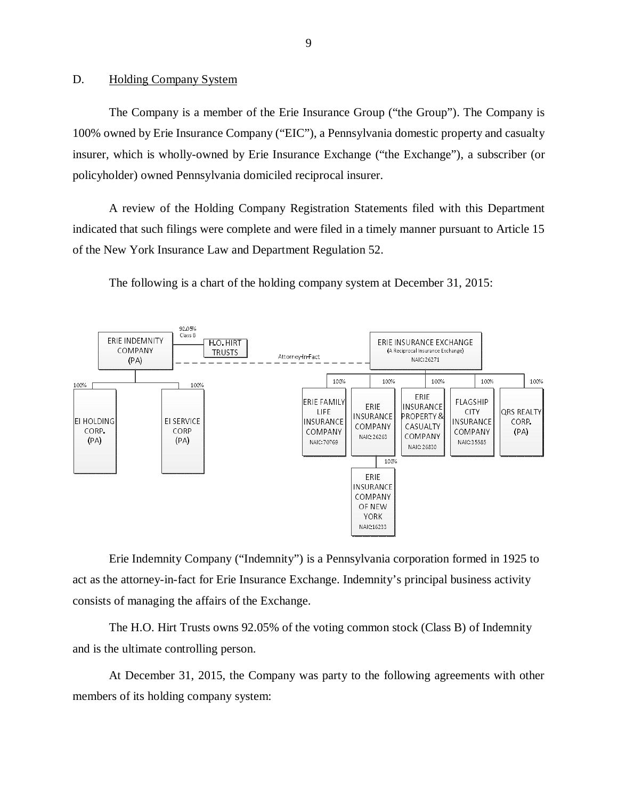## <span id="page-10-0"></span>D. Holding Company System

The Company is a member of the Erie Insurance Group ("the Group"). The Company is 100% owned by Erie Insurance Company ("EIC"), a Pennsylvania domestic property and casualty insurer, which is wholly-owned by Erie Insurance Exchange ("the Exchange"), a subscriber (or policyholder) owned Pennsylvania domiciled reciprocal insurer.

A review of the Holding Company Registration Statements filed with this Department indicated that such filings were complete and were filed in a timely manner pursuant to Article 15 of the New York Insurance Law and Department Regulation 52.



The following is a chart of the holding company system at December 31, 2015:

Erie Indemnity Company ("Indemnity") is a Pennsylvania corporation formed in 1925 to act as the attorney-in-fact for Erie Insurance Exchange. Indemnity's principal business activity consists of managing the affairs of the Exchange.

The H.O. Hirt Trusts owns 92.05% of the voting common stock (Class B) of Indemnity and is the ultimate controlling person.

At December 31, 2015, the Company was party to the following agreements with other members of its holding company system: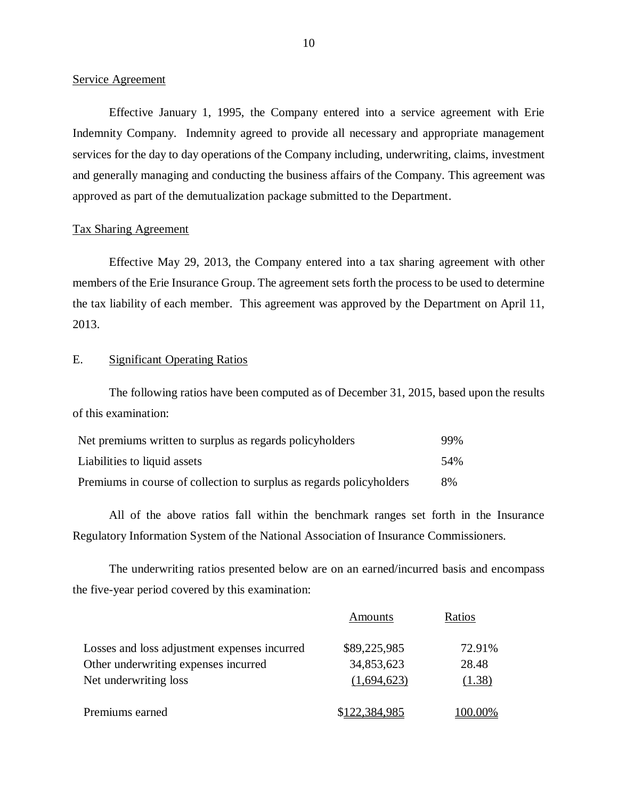### Service Agreement

Effective January 1, 1995, the Company entered into a service agreement with Erie Indemnity Company. Indemnity agreed to provide all necessary and appropriate management services for the day to day operations of the Company including, underwriting, claims, investment and generally managing and conducting the business affairs of the Company. This agreement was approved as part of the demutualization package submitted to the Department.

### Tax Sharing Agreement

Effective May 29, 2013, the Company entered into a tax sharing agreement with other members of the Erie Insurance Group. The agreement sets forth the process to be used to determine the tax liability of each member. This agreement was approved by the Department on April 11, 2013.

## E. Significant Operating Ratios

The following ratios have been computed as of December 31, 2015, based upon the results of this examination:

| Net premiums written to surplus as regards policyholders             | 99% |
|----------------------------------------------------------------------|-----|
| Liabilities to liquid assets                                         | 54% |
| Premiums in course of collection to surplus as regards policyholders | 8%  |

All of the above ratios fall within the benchmark ranges set forth in the Insurance Regulatory Information System of the National Association of Insurance Commissioners.

The underwriting ratios presented below are on an earned/incurred basis and encompass the five-year period covered by this examination:

|                                              | Amounts       | Ratios  |
|----------------------------------------------|---------------|---------|
| Losses and loss adjustment expenses incurred | \$89,225,985  | 72.91%  |
| Other underwriting expenses incurred         | 34,853,623    | 28.48   |
| Net underwriting loss                        | (1,694,623)   | (1.38)  |
| Premiums earned                              | \$122,384,985 | 100.00% |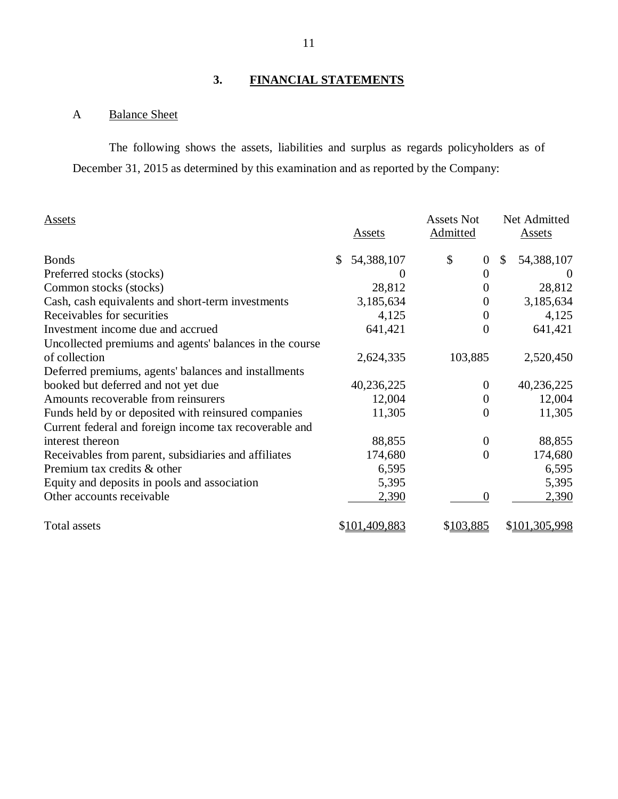# **3. FINANCIAL STATEMENTS**

# A Balance Sheet

The following shows the assets, liabilities and surplus as regards policyholders as of December 31, 2015 as determined by this examination and as reported by the Company:

| Assets                                                  | <b>Assets</b>    | <b>Assets Not</b><br>Admitted | Net Admitted<br><b>Assets</b> |
|---------------------------------------------------------|------------------|-------------------------------|-------------------------------|
| <b>Bonds</b>                                            | 54,388,107<br>\$ | \$<br>$\boldsymbol{0}$        | 54,388,107<br>\$              |
| Preferred stocks (stocks)                               | $\theta$         | $\boldsymbol{0}$              | $\theta$                      |
| Common stocks (stocks)                                  | 28,812           | 0                             | 28,812                        |
| Cash, cash equivalents and short-term investments       | 3,185,634        | $\boldsymbol{0}$              | 3,185,634                     |
| Receivables for securities                              | 4,125            | 0                             | 4,125                         |
| Investment income due and accrued                       | 641,421          | $\boldsymbol{0}$              | 641,421                       |
| Uncollected premiums and agents' balances in the course |                  |                               |                               |
| of collection                                           | 2,624,335        | 103,885                       | 2,520,450                     |
| Deferred premiums, agents' balances and installments    |                  |                               |                               |
| booked but deferred and not yet due                     | 40,236,225       | $\overline{0}$                | 40,236,225                    |
| Amounts recoverable from reinsurers                     | 12,004           | $\boldsymbol{0}$              | 12,004                        |
| Funds held by or deposited with reinsured companies     | 11,305           | $\overline{0}$                | 11,305                        |
| Current federal and foreign income tax recoverable and  |                  |                               |                               |
| interest thereon                                        | 88,855           | $\overline{0}$                | 88,855                        |
| Receivables from parent, subsidiaries and affiliates    | 174,680          | $\overline{0}$                | 174,680                       |
| Premium tax credits & other                             | 6,595            |                               | 6,595                         |
| Equity and deposits in pools and association            | 5,395            |                               | 5,395                         |
| Other accounts receivable                               | 2,390            | $\boldsymbol{0}$              | 2,390                         |
| <b>Total assets</b>                                     | \$101,409,883    | \$103,885                     | \$101,305,998                 |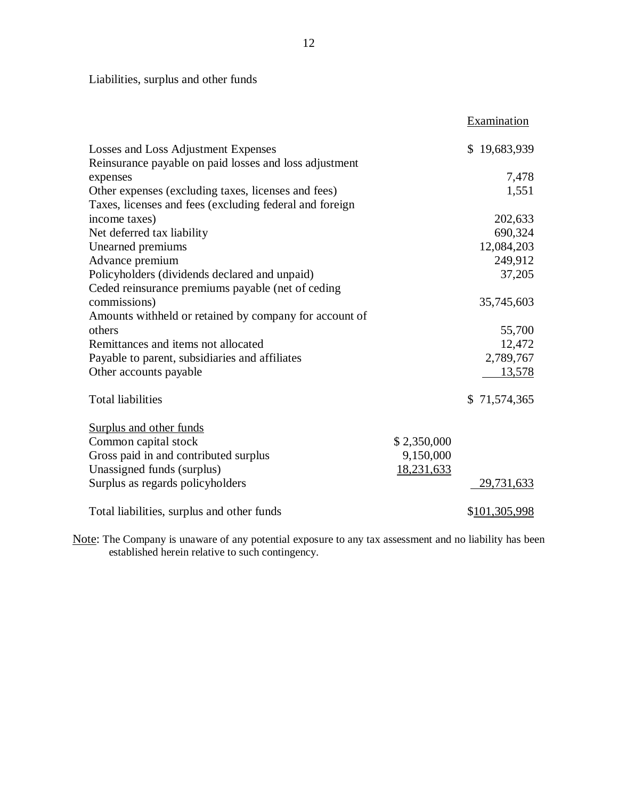Liabilities, surplus and other funds

|                                                         |             | Examination   |
|---------------------------------------------------------|-------------|---------------|
| Losses and Loss Adjustment Expenses                     |             | \$19,683,939  |
| Reinsurance payable on paid losses and loss adjustment  |             |               |
| expenses                                                |             | 7,478         |
| Other expenses (excluding taxes, licenses and fees)     |             | 1,551         |
| Taxes, licenses and fees (excluding federal and foreign |             |               |
| income taxes)                                           |             | 202,633       |
| Net deferred tax liability                              |             | 690,324       |
| Unearned premiums                                       |             | 12,084,203    |
| Advance premium                                         |             | 249,912       |
| Policyholders (dividends declared and unpaid)           |             | 37,205        |
| Ceded reinsurance premiums payable (net of ceding       |             |               |
| commissions)                                            |             | 35,745,603    |
| Amounts withheld or retained by company for account of  |             |               |
| others                                                  |             | 55,700        |
| Remittances and items not allocated                     |             | 12,472        |
| Payable to parent, subsidiaries and affiliates          |             | 2,789,767     |
| Other accounts payable                                  |             | 13,578        |
| <b>Total liabilities</b>                                |             | \$71,574,365  |
| Surplus and other funds                                 |             |               |
| Common capital stock                                    | \$2,350,000 |               |
| Gross paid in and contributed surplus                   | 9,150,000   |               |
| Unassigned funds (surplus)                              | 18,231,633  |               |
| Surplus as regards policyholders                        |             | 29,731,633    |
| Total liabilities, surplus and other funds              |             | \$101,305,998 |

Note: The Company is unaware of any potential exposure to any tax assessment and no liability has been established herein relative to such contingency.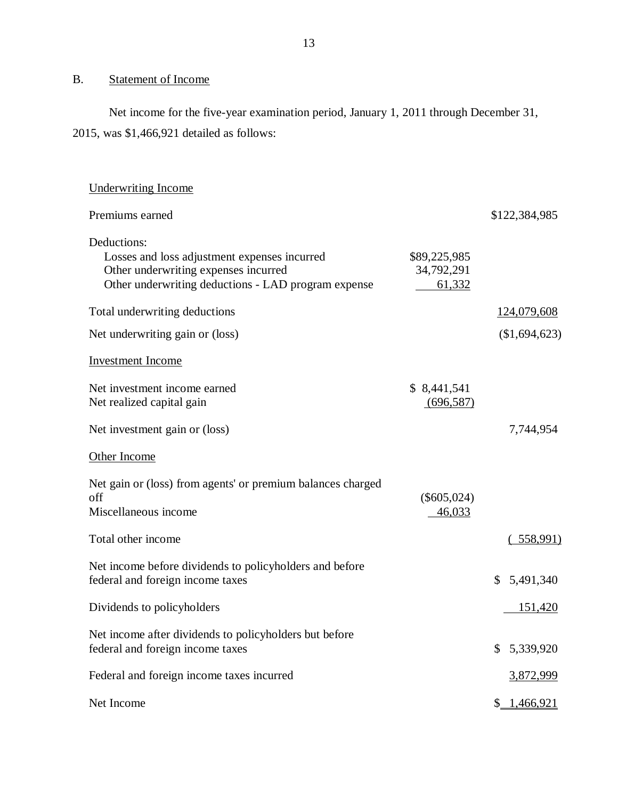# <span id="page-14-0"></span>B. Statement of Income

Net income for the five-year examination period, January 1, 2011 through December 31, 2015, was \$1,466,921 detailed as follows:

| <b>Underwriting Income</b>                                                                                                                                 |                                      |                             |
|------------------------------------------------------------------------------------------------------------------------------------------------------------|--------------------------------------|-----------------------------|
| Premiums earned                                                                                                                                            |                                      | \$122,384,985               |
| Deductions:<br>Losses and loss adjustment expenses incurred<br>Other underwriting expenses incurred<br>Other underwriting deductions - LAD program expense | \$89,225,985<br>34,792,291<br>61,332 |                             |
| Total underwriting deductions                                                                                                                              |                                      | 124,079,608                 |
| Net underwriting gain or (loss)                                                                                                                            |                                      | (\$1,694,623)               |
| <b>Investment Income</b>                                                                                                                                   |                                      |                             |
| Net investment income earned<br>Net realized capital gain                                                                                                  | \$ 8,441,541<br>(696, 587)           |                             |
| Net investment gain or (loss)                                                                                                                              |                                      | 7,744,954                   |
| Other Income                                                                                                                                               |                                      |                             |
| Net gain or (loss) from agents' or premium balances charged<br>off<br>Miscellaneous income                                                                 | $(\$605,024)$<br>46,033              |                             |
| Total other income                                                                                                                                         |                                      | (.558,991)                  |
| Net income before dividends to policyholders and before<br>federal and foreign income taxes                                                                |                                      | $\mathbb{S}^-$<br>5,491,340 |
| Dividends to policyholders                                                                                                                                 |                                      | <u>151,420</u>              |
| Net income after dividends to policyholders but before<br>federal and foreign income taxes                                                                 |                                      | \$<br>5,339,920             |
| Federal and foreign income taxes incurred                                                                                                                  |                                      | 3,872,999                   |
| Net Income                                                                                                                                                 |                                      | 1,466,921<br>\$_            |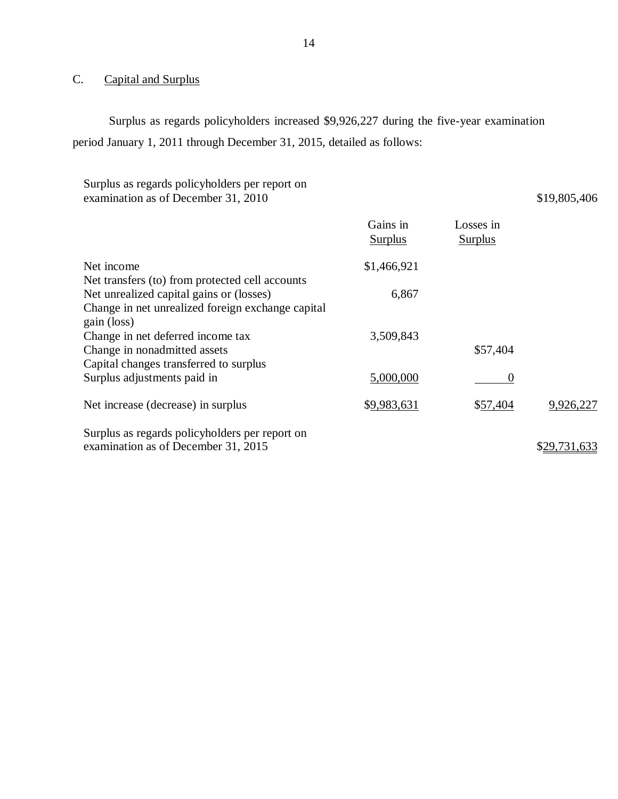# C. Capital and Surplus

Surplus as regards policyholders increased \$9,926,227 during the five-year examination period January 1, 2011 through December 31, 2015, detailed as follows:

| Surplus as regards policyholders per report on<br>examination as of December 31, 2010 |                            |                             | \$19,805,406 |
|---------------------------------------------------------------------------------------|----------------------------|-----------------------------|--------------|
|                                                                                       | Gains in<br><b>Surplus</b> | Losses in<br><u>Surplus</u> |              |
| Net income                                                                            | \$1,466,921                |                             |              |
| Net transfers (to) from protected cell accounts                                       |                            |                             |              |
| Net unrealized capital gains or (losses)                                              | 6,867                      |                             |              |
| Change in net unrealized foreign exchange capital                                     |                            |                             |              |
| gain (loss)                                                                           |                            |                             |              |
| Change in net deferred income tax                                                     | 3,509,843                  |                             |              |
| Change in nonadmitted assets                                                          |                            | \$57,404                    |              |
| Capital changes transferred to surplus                                                |                            |                             |              |
| Surplus adjustments paid in                                                           | 5,000,000                  | $\overline{0}$              |              |
| Net increase (decrease) in surplus                                                    | \$9,983,631                | \$57,404                    | 9,926,227    |
| Surplus as regards policyholders per report on                                        |                            |                             |              |
| examination as of December 31, 2015                                                   |                            |                             | \$29,731,633 |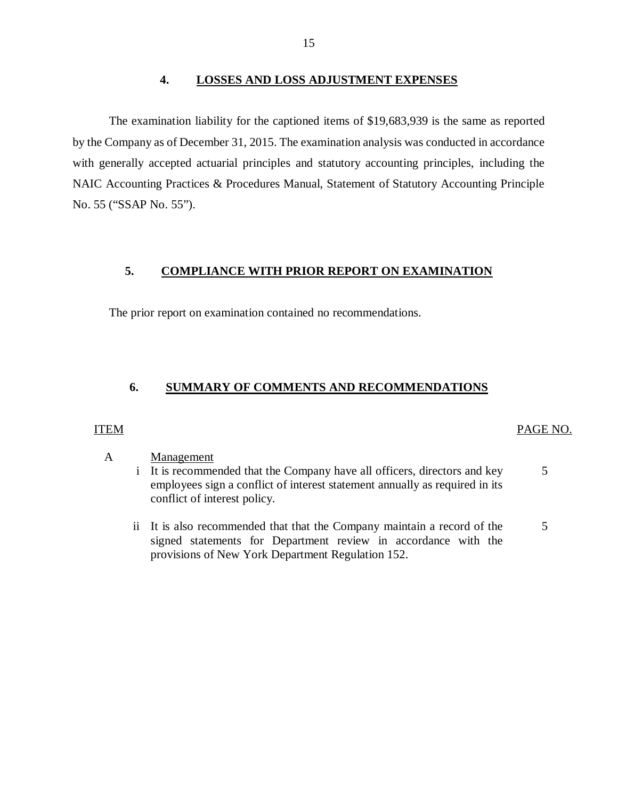## **4. LOSSES AND LOSS ADJUSTMENT EXPENSES**

The examination liability for the captioned items of \$19,683,939 is the same as reported by the Company as of December 31, 2015. The examination analysis was conducted in accordance with generally accepted actuarial principles and statutory accounting principles, including the NAIC Accounting Practices & Procedures Manual, Statement of Statutory Accounting Principle No. 55 ("SSAP No. 55").

## **5. COMPLIANCE WITH PRIOR REPORT ON EXAMINATION**

The prior report on examination contained no recommendations.

# **6. SUMMARY OF COMMENTS AND RECOMMENDATIONS**

# ITEM PAGE NO.

### A Management

- i It is recommended that the Company have all officers, directors and key employees sign a conflict of interest statement annually as required in its conflict of interest policy. 5
- ii It is also recommended that that the Company maintain a record of the signed statements for Department review in accordance with the provisions of New York Department Regulation 152. 5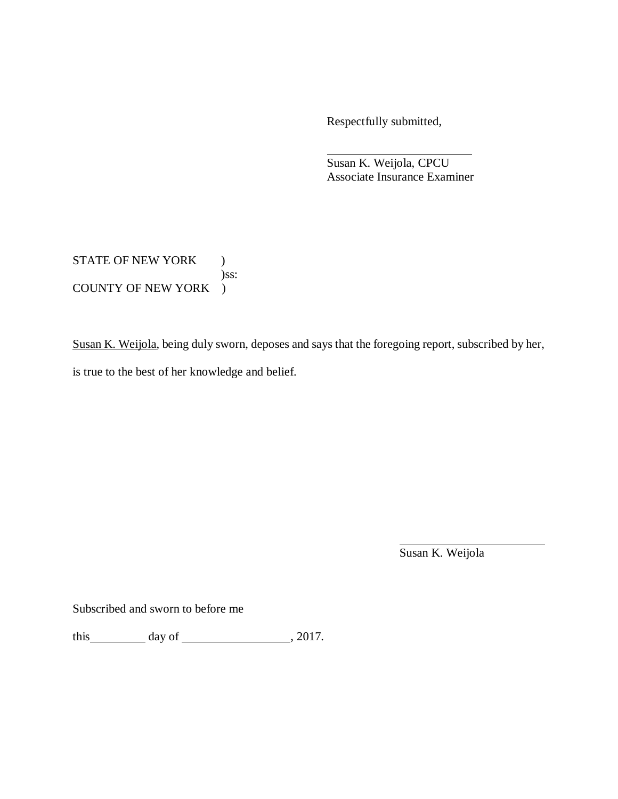Respectfully submitted,

Susan K. Weijola, CPCU Associate Insurance Examiner

STATE OF NEW YORK ) )ss: COUNTY OF NEW YORK )

Susan K. Weijola, being duly sworn, deposes and says that the foregoing report, subscribed by her, is true to the best of her knowledge and belief.

Susan K. Weijola

Subscribed and sworn to before me

this  $\qquad \qquad$  day of  $\qquad \qquad$  , 2017.